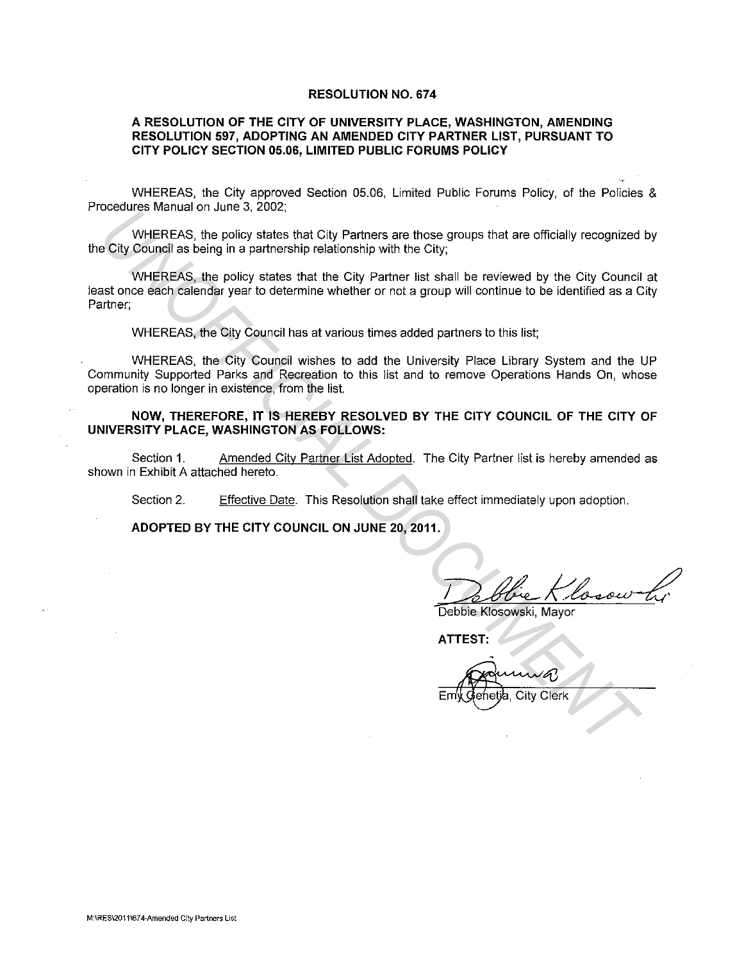## **RESOLUTION NO. 674**

## **A RESOLUTION OF THE CITY OF UNIVERSITY PLACE, WASHINGTON, AMENDING RESOLUTION 597, ADOPTING AN AMENDED CITY PARTNER LIST, PURSUANT TO CITY POLICY SECTION 05.06, LIMITED PUBLIC FORUMS POLICY**

WHEREAS, the City approved Section 05.06, Limited Public Forums Policy, of the Policies & Procedures Manual on June 3, 2002;

WHEREAS, the policy states that City Partners are those groups that are officially recognized by the City Council as being in a partnership relationship with the City;

WHEREAS, the policy states that the City Partner list shall be reviewed by the City Council at least once each calendar year to determine whether or not a group will continue to be identified as a City Partner; Cocause manual on summary of the prior state is the city Partners are those groups that are officially recognized<br>
City Council as being in a partnership relationship with the City:<br>
WHEREAS, the policy states that the Ci

WHEREAS, the City Council has at various times added partners to this list;

WHEREAS, the City Council wishes to add the University Place Library System and the UP Community Supported Parks and Recreation to this list and to remove Operations Hands On, whose operation is no longer in existence, from the list.

**NOW, THEREFORE, IT IS HEREBY RESOLVED BY THE CITY COUNCIL OF THE CITY OF UNIVERSITY PLACE, WASHINGTON AS FOLLOWS:** 

Section 1. Amended City Partner List Adopted. The City Partner list is hereby amended as shown in Exhibit A attached hereto.

Section 2. Effective Date. This Resolution shall take effect immediately upon adoption.

**ADOPTED BY THE CITY COUNCIL ON JUNE 20, 2011.** 

Debbie Klosow Li

**ATTEST:** 

City Clerk